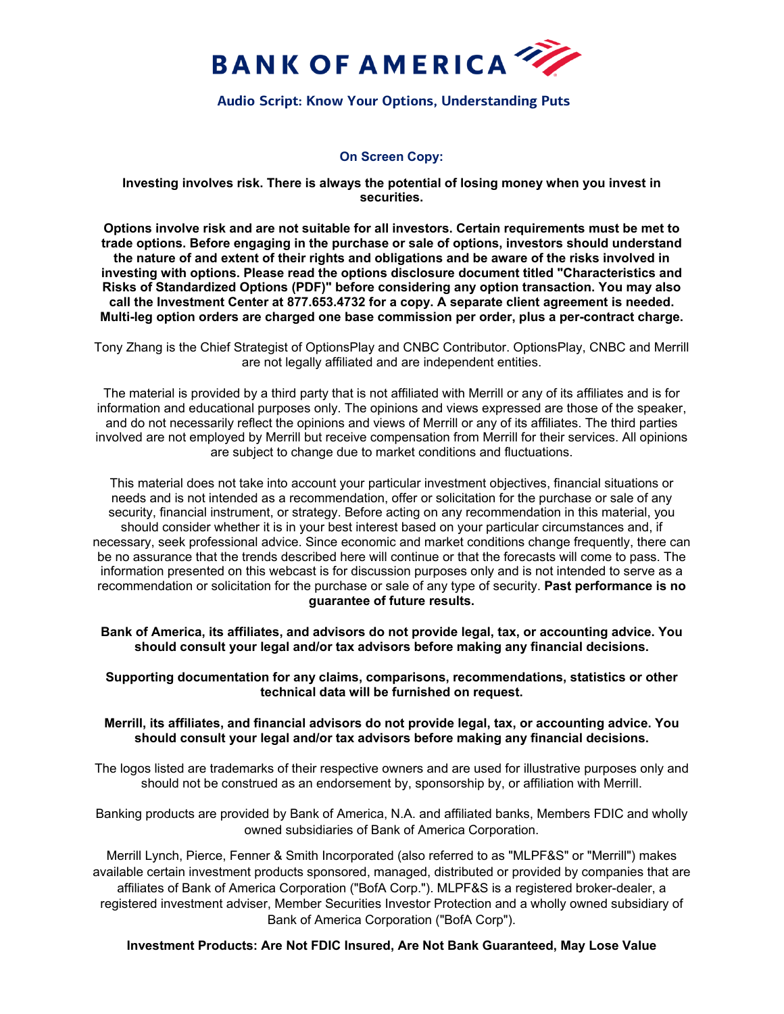

# **Audio Script: Know Your Options, Understanding Puts**

## **On Screen Copy:**

**Investing involves risk. There is always the potential of losing money when you invest in securities.**

**Options involve risk and are not suitable for all investors. Certain requirements must be met to trade options. Before engaging in the purchase or sale of options, investors should understand the nature of and extent of their rights and obligations and be aware of the risks involved in investing with options. Please read the options disclosure document titled ["Characteristics and](https://olui2.fs.ml.com/Publish/Content/application/pdf/GWMOL/riskstoc_supplement.pdf)  [Risks of Standardized Options \(PDF\)"](https://olui2.fs.ml.com/Publish/Content/application/pdf/GWMOL/riskstoc_supplement.pdf) before considering any option transaction. You may also call the Investment Center at 877.653.4732 for a copy. A separate client agreement is needed. Multi-leg option orders are charged one base commission per order, plus a per-contract charge.**

Tony Zhang is the Chief Strategist of OptionsPlay and CNBC Contributor. OptionsPlay, CNBC and Merrill are not legally affiliated and are independent entities.

The material is provided by a third party that is not affiliated with Merrill or any of its affiliates and is for information and educational purposes only. The opinions and views expressed are those of the speaker, and do not necessarily reflect the opinions and views of Merrill or any of its affiliates. The third parties involved are not employed by Merrill but receive compensation from Merrill for their services. All opinions are subject to change due to market conditions and fluctuations.

This material does not take into account your particular investment objectives, financial situations or needs and is not intended as a recommendation, offer or solicitation for the purchase or sale of any security, financial instrument, or strategy. Before acting on any recommendation in this material, you should consider whether it is in your best interest based on your particular circumstances and, if necessary, seek professional advice. Since economic and market conditions change frequently, there can be no assurance that the trends described here will continue or that the forecasts will come to pass. The information presented on this webcast is for discussion purposes only and is not intended to serve as a recommendation or solicitation for the purchase or sale of any type of security. **Past performance is no guarantee of future results.**

**Bank of America, its affiliates, and advisors do not provide legal, tax, or accounting advice. You should consult your legal and/or tax advisors before making any financial decisions.**

### **Supporting documentation for any claims, comparisons, recommendations, statistics or other technical data will be furnished on request.**

### **Merrill, its affiliates, and financial advisors do not provide legal, tax, or accounting advice. You should consult your legal and/or tax advisors before making any financial decisions.**

The logos listed are trademarks of their respective owners and are used for illustrative purposes only and should not be construed as an endorsement by, sponsorship by, or affiliation with Merrill.

Banking products are provided by Bank of America, N.A. and affiliated banks, Members FDIC and wholly owned subsidiaries of Bank of America Corporation.

Merrill Lynch, Pierce, Fenner & Smith Incorporated (also referred to as "MLPF&S" or "Merrill") makes available certain investment products sponsored, managed, distributed or provided by companies that are affiliates of Bank of America Corporation ("BofA Corp."). MLPF&S is a registered broker-dealer, a registered investment adviser, Member Securities Investor Protection and a wholly owned subsidiary of Bank of America Corporation ("BofA Corp").

## **Investment Products: Are Not FDIC Insured, Are Not Bank Guaranteed, May Lose Value**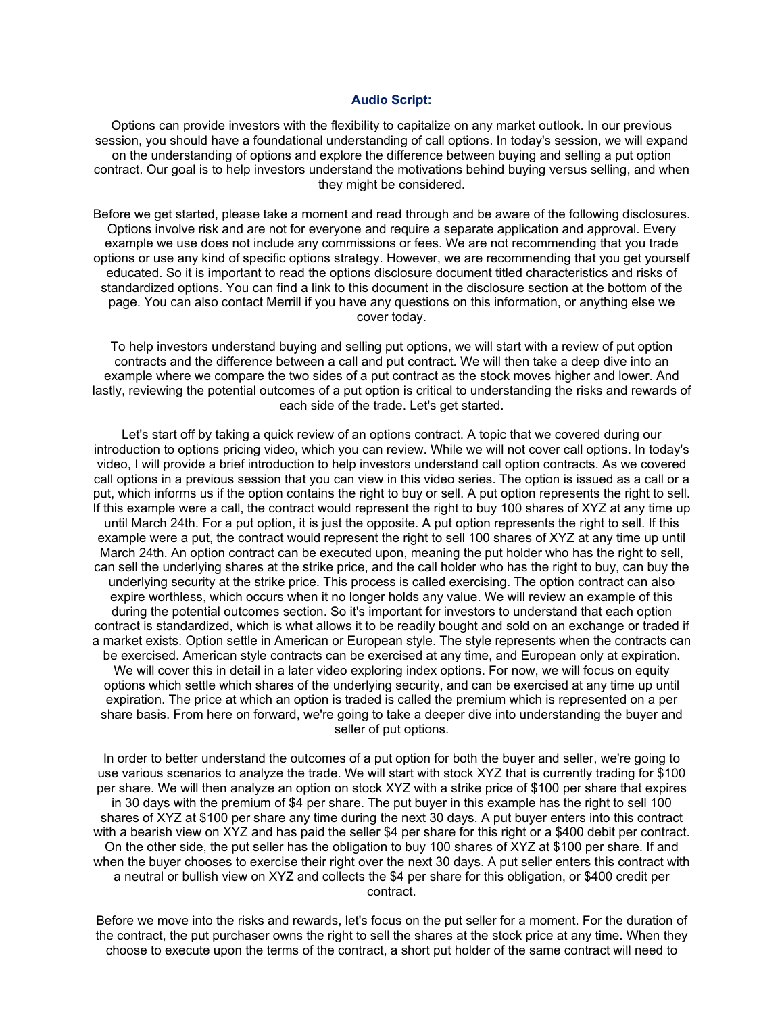#### **Audio Script:**

Options can provide investors with the flexibility to capitalize on any market outlook. In our previous session, you should have a foundational understanding of call options. In today's session, we will expand on the understanding of options and explore the difference between buying and selling a put option contract. Our goal is to help investors understand the motivations behind buying versus selling, and when they might be considered.

Before we get started, please take a moment and read through and be aware of the following disclosures. Options involve risk and are not for everyone and require a separate application and approval. Every example we use does not include any commissions or fees. We are not recommending that you trade options or use any kind of specific options strategy. However, we are recommending that you get yourself educated. So it is important to read the options disclosure document titled characteristics and risks of standardized options. You can find a link to this document in the disclosure section at the bottom of the page. You can also contact Merrill if you have any questions on this information, or anything else we cover today.

To help investors understand buying and selling put options, we will start with a review of put option contracts and the difference between a call and put contract. We will then take a deep dive into an example where we compare the two sides of a put contract as the stock moves higher and lower. And lastly, reviewing the potential outcomes of a put option is critical to understanding the risks and rewards of each side of the trade. Let's get started.

Let's start off by taking a quick review of an options contract. A topic that we covered during our introduction to options pricing video, which you can review. While we will not cover call options. In today's video, I will provide a brief introduction to help investors understand call option contracts. As we covered call options in a previous session that you can view in this video series. The option is issued as a call or a put, which informs us if the option contains the right to buy or sell. A put option represents the right to sell. If this example were a call, the contract would represent the right to buy 100 shares of XYZ at any time up until March 24th. For a put option, it is just the opposite. A put option represents the right to sell. If this example were a put, the contract would represent the right to sell 100 shares of XYZ at any time up until March 24th. An option contract can be executed upon, meaning the put holder who has the right to sell, can sell the underlying shares at the strike price, and the call holder who has the right to buy, can buy the underlying security at the strike price. This process is called exercising. The option contract can also expire worthless, which occurs when it no longer holds any value. We will review an example of this during the potential outcomes section. So it's important for investors to understand that each option contract is standardized, which is what allows it to be readily bought and sold on an exchange or traded if a market exists. Option settle in American or European style. The style represents when the contracts can be exercised. American style contracts can be exercised at any time, and European only at expiration. We will cover this in detail in a later video exploring index options. For now, we will focus on equity options which settle which shares of the underlying security, and can be exercised at any time up until expiration. The price at which an option is traded is called the premium which is represented on a per share basis. From here on forward, we're going to take a deeper dive into understanding the buyer and seller of put options.

In order to better understand the outcomes of a put option for both the buyer and seller, we're going to use various scenarios to analyze the trade. We will start with stock XYZ that is currently trading for \$100 per share. We will then analyze an option on stock XYZ with a strike price of \$100 per share that expires in 30 days with the premium of \$4 per share. The put buyer in this example has the right to sell 100 shares of XYZ at \$100 per share any time during the next 30 days. A put buyer enters into this contract with a bearish view on XYZ and has paid the seller \$4 per share for this right or a \$400 debit per contract. On the other side, the put seller has the obligation to buy 100 shares of XYZ at \$100 per share. If and when the buyer chooses to exercise their right over the next 30 days. A put seller enters this contract with a neutral or bullish view on XYZ and collects the \$4 per share for this obligation, or \$400 credit per contract.

Before we move into the risks and rewards, let's focus on the put seller for a moment. For the duration of the contract, the put purchaser owns the right to sell the shares at the stock price at any time. When they choose to execute upon the terms of the contract, a short put holder of the same contract will need to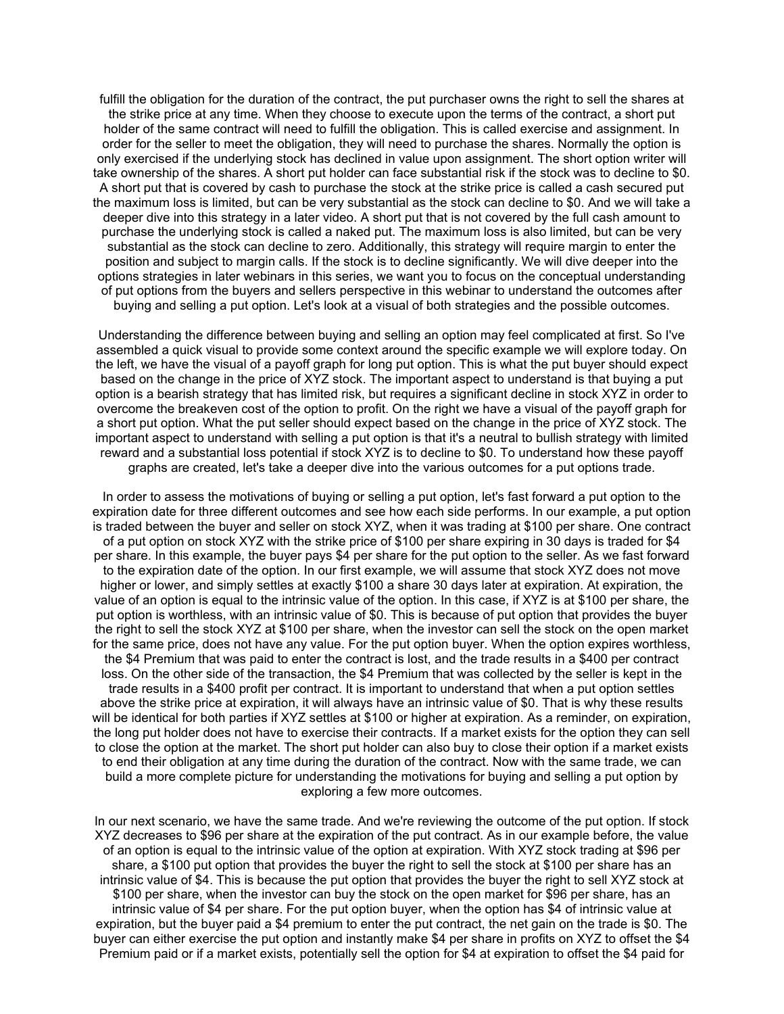fulfill the obligation for the duration of the contract, the put purchaser owns the right to sell the shares at the strike price at any time. When they choose to execute upon the terms of the contract, a short put holder of the same contract will need to fulfill the obligation. This is called exercise and assignment. In order for the seller to meet the obligation, they will need to purchase the shares. Normally the option is only exercised if the underlying stock has declined in value upon assignment. The short option writer will take ownership of the shares. A short put holder can face substantial risk if the stock was to decline to \$0. A short put that is covered by cash to purchase the stock at the strike price is called a cash secured put the maximum loss is limited, but can be very substantial as the stock can decline to \$0. And we will take a deeper dive into this strategy in a later video. A short put that is not covered by the full cash amount to purchase the underlying stock is called a naked put. The maximum loss is also limited, but can be very substantial as the stock can decline to zero. Additionally, this strategy will require margin to enter the position and subject to margin calls. If the stock is to decline significantly. We will dive deeper into the options strategies in later webinars in this series, we want you to focus on the conceptual understanding of put options from the buyers and sellers perspective in this webinar to understand the outcomes after buying and selling a put option. Let's look at a visual of both strategies and the possible outcomes.

Understanding the difference between buying and selling an option may feel complicated at first. So I've assembled a quick visual to provide some context around the specific example we will explore today. On the left, we have the visual of a payoff graph for long put option. This is what the put buyer should expect based on the change in the price of XYZ stock. The important aspect to understand is that buying a put option is a bearish strategy that has limited risk, but requires a significant decline in stock XYZ in order to overcome the breakeven cost of the option to profit. On the right we have a visual of the payoff graph for a short put option. What the put seller should expect based on the change in the price of XYZ stock. The important aspect to understand with selling a put option is that it's a neutral to bullish strategy with limited reward and a substantial loss potential if stock XYZ is to decline to \$0. To understand how these payoff graphs are created, let's take a deeper dive into the various outcomes for a put options trade.

In order to assess the motivations of buying or selling a put option, let's fast forward a put option to the expiration date for three different outcomes and see how each side performs. In our example, a put option is traded between the buyer and seller on stock XYZ, when it was trading at \$100 per share. One contract of a put option on stock XYZ with the strike price of \$100 per share expiring in 30 days is traded for \$4 per share. In this example, the buyer pays \$4 per share for the put option to the seller. As we fast forward to the expiration date of the option. In our first example, we will assume that stock XYZ does not move higher or lower, and simply settles at exactly \$100 a share 30 days later at expiration. At expiration, the value of an option is equal to the intrinsic value of the option. In this case, if XYZ is at \$100 per share, the put option is worthless, with an intrinsic value of \$0. This is because of put option that provides the buyer the right to sell the stock XYZ at \$100 per share, when the investor can sell the stock on the open market for the same price, does not have any value. For the put option buyer. When the option expires worthless, the \$4 Premium that was paid to enter the contract is lost, and the trade results in a \$400 per contract loss. On the other side of the transaction, the \$4 Premium that was collected by the seller is kept in the trade results in a \$400 profit per contract. It is important to understand that when a put option settles above the strike price at expiration, it will always have an intrinsic value of \$0. That is why these results will be identical for both parties if XYZ settles at \$100 or higher at expiration. As a reminder, on expiration, the long put holder does not have to exercise their contracts. If a market exists for the option they can sell to close the option at the market. The short put holder can also buy to close their option if a market exists to end their obligation at any time during the duration of the contract. Now with the same trade, we can build a more complete picture for understanding the motivations for buying and selling a put option by exploring a few more outcomes.

In our next scenario, we have the same trade. And we're reviewing the outcome of the put option. If stock XYZ decreases to \$96 per share at the expiration of the put contract. As in our example before, the value of an option is equal to the intrinsic value of the option at expiration. With XYZ stock trading at \$96 per share, a \$100 put option that provides the buyer the right to sell the stock at \$100 per share has an intrinsic value of \$4. This is because the put option that provides the buyer the right to sell XYZ stock at \$100 per share, when the investor can buy the stock on the open market for \$96 per share, has an intrinsic value of \$4 per share. For the put option buyer, when the option has \$4 of intrinsic value at expiration, but the buyer paid a \$4 premium to enter the put contract, the net gain on the trade is \$0. The buyer can either exercise the put option and instantly make \$4 per share in profits on XYZ to offset the \$4 Premium paid or if a market exists, potentially sell the option for \$4 at expiration to offset the \$4 paid for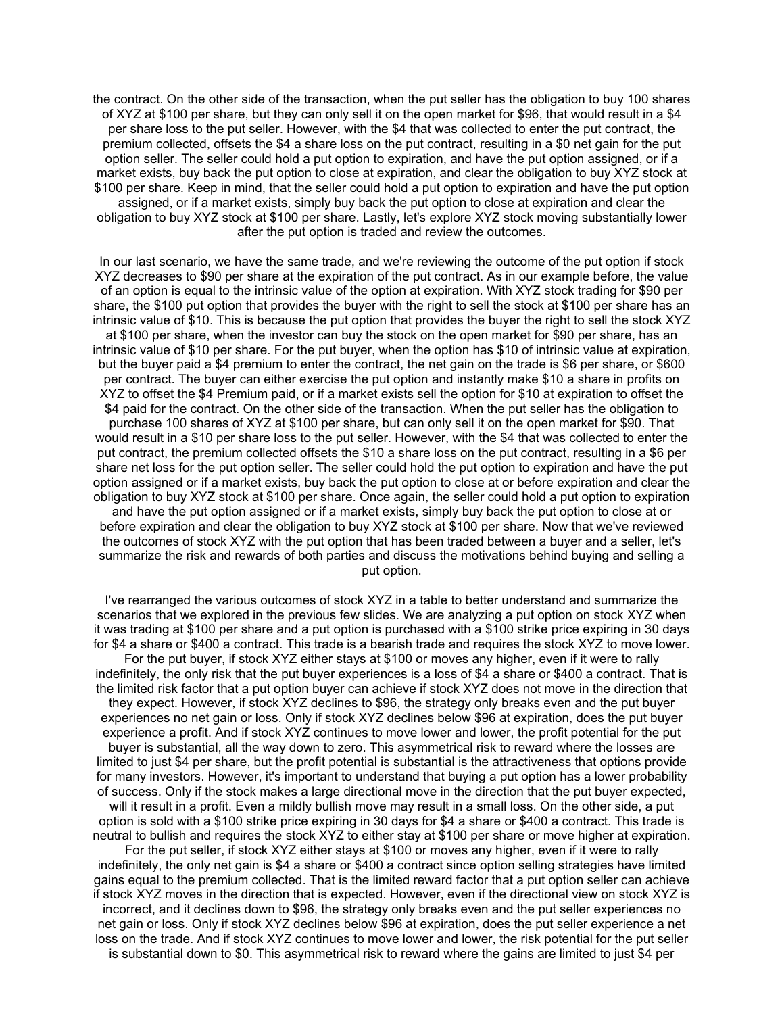the contract. On the other side of the transaction, when the put seller has the obligation to buy 100 shares of XYZ at \$100 per share, but they can only sell it on the open market for \$96, that would result in a \$4 per share loss to the put seller. However, with the \$4 that was collected to enter the put contract, the premium collected, offsets the \$4 a share loss on the put contract, resulting in a \$0 net gain for the put option seller. The seller could hold a put option to expiration, and have the put option assigned, or if a market exists, buy back the put option to close at expiration, and clear the obligation to buy XYZ stock at \$100 per share. Keep in mind, that the seller could hold a put option to expiration and have the put option assigned, or if a market exists, simply buy back the put option to close at expiration and clear the obligation to buy XYZ stock at \$100 per share. Lastly, let's explore XYZ stock moving substantially lower after the put option is traded and review the outcomes.

In our last scenario, we have the same trade, and we're reviewing the outcome of the put option if stock XYZ decreases to \$90 per share at the expiration of the put contract. As in our example before, the value of an option is equal to the intrinsic value of the option at expiration. With XYZ stock trading for \$90 per share, the \$100 put option that provides the buyer with the right to sell the stock at \$100 per share has an intrinsic value of \$10. This is because the put option that provides the buyer the right to sell the stock XYZ at \$100 per share, when the investor can buy the stock on the open market for \$90 per share, has an intrinsic value of \$10 per share. For the put buyer, when the option has \$10 of intrinsic value at expiration, but the buyer paid a \$4 premium to enter the contract, the net gain on the trade is \$6 per share, or \$600 per contract. The buyer can either exercise the put option and instantly make \$10 a share in profits on XYZ to offset the \$4 Premium paid, or if a market exists sell the option for \$10 at expiration to offset the \$4 paid for the contract. On the other side of the transaction. When the put seller has the obligation to purchase 100 shares of XYZ at \$100 per share, but can only sell it on the open market for \$90. That would result in a \$10 per share loss to the put seller. However, with the \$4 that was collected to enter the put contract, the premium collected offsets the \$10 a share loss on the put contract, resulting in a \$6 per share net loss for the put option seller. The seller could hold the put option to expiration and have the put option assigned or if a market exists, buy back the put option to close at or before expiration and clear the obligation to buy XYZ stock at \$100 per share. Once again, the seller could hold a put option to expiration and have the put option assigned or if a market exists, simply buy back the put option to close at or before expiration and clear the obligation to buy XYZ stock at \$100 per share. Now that we've reviewed the outcomes of stock XYZ with the put option that has been traded between a buyer and a seller, let's summarize the risk and rewards of both parties and discuss the motivations behind buying and selling a put option.

I've rearranged the various outcomes of stock XYZ in a table to better understand and summarize the scenarios that we explored in the previous few slides. We are analyzing a put option on stock XYZ when it was trading at \$100 per share and a put option is purchased with a \$100 strike price expiring in 30 days for \$4 a share or \$400 a contract. This trade is a bearish trade and requires the stock XYZ to move lower. For the put buyer, if stock XYZ either stays at \$100 or moves any higher, even if it were to rally indefinitely, the only risk that the put buyer experiences is a loss of \$4 a share or \$400 a contract. That is the limited risk factor that a put option buyer can achieve if stock XYZ does not move in the direction that they expect. However, if stock XYZ declines to \$96, the strategy only breaks even and the put buyer experiences no net gain or loss. Only if stock XYZ declines below \$96 at expiration, does the put buyer experience a profit. And if stock XYZ continues to move lower and lower, the profit potential for the put buyer is substantial, all the way down to zero. This asymmetrical risk to reward where the losses are limited to just \$4 per share, but the profit potential is substantial is the attractiveness that options provide for many investors. However, it's important to understand that buying a put option has a lower probability of success. Only if the stock makes a large directional move in the direction that the put buyer expected, will it result in a profit. Even a mildly bullish move may result in a small loss. On the other side, a put option is sold with a \$100 strike price expiring in 30 days for \$4 a share or \$400 a contract. This trade is neutral to bullish and requires the stock XYZ to either stay at \$100 per share or move higher at expiration. For the put seller, if stock XYZ either stays at \$100 or moves any higher, even if it were to rally indefinitely, the only net gain is \$4 a share or \$400 a contract since option selling strategies have limited gains equal to the premium collected. That is the limited reward factor that a put option seller can achieve if stock XYZ moves in the direction that is expected. However, even if the directional view on stock XYZ is incorrect, and it declines down to \$96, the strategy only breaks even and the put seller experiences no net gain or loss. Only if stock XYZ declines below \$96 at expiration, does the put seller experience a net loss on the trade. And if stock XYZ continues to move lower and lower, the risk potential for the put seller is substantial down to \$0. This asymmetrical risk to reward where the gains are limited to just \$4 per